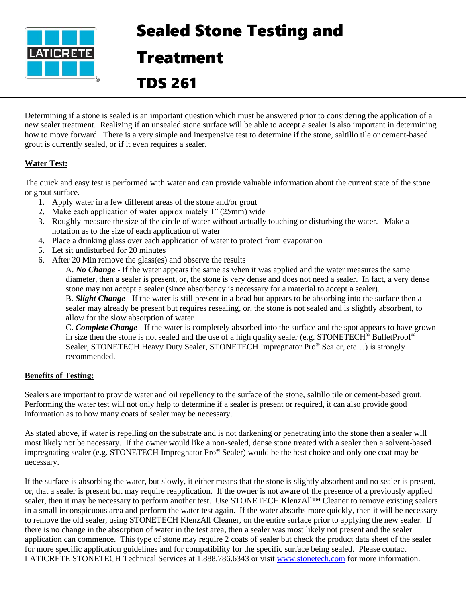

# Sealed Stone Testing and

### Treatment

## TDS 261

Determining if a stone is sealed is an important question which must be answered prior to considering the application of a new sealer treatment. Realizing if an unsealed stone surface will be able to accept a sealer is also important in determining how to move forward. There is a very simple and inexpensive test to determine if the stone, saltillo tile or cement-based grout is currently sealed, or if it even requires a sealer.

### **Water Test:**

The quick and easy test is performed with water and can provide valuable information about the current state of the stone or grout surface.

- 1. Apply water in a few different areas of the stone and/or grout
- 2. Make each application of water approximately 1" (25mm) wide
- 3. Roughly measure the size of the circle of water without actually touching or disturbing the water. Make a notation as to the size of each application of water
- 4. Place a drinking glass over each application of water to protect from evaporation
- 5. Let sit undisturbed for 20 minutes
- 6. After 20 Min remove the glass(es) and observe the results

A. *No Change* - If the water appears the same as when it was applied and the water measures the same diameter, then a sealer is present, or, the stone is very dense and does not need a sealer. In fact, a very dense stone may not accept a sealer (since absorbency is necessary for a material to accept a sealer).

B. *Slight Change* - If the water is still present in a bead but appears to be absorbing into the surface then a sealer may already be present but requires resealing, or, the stone is not sealed and is slightly absorbent, to allow for the slow absorption of water

C. *Complete Change* - If the water is completely absorbed into the surface and the spot appears to have grown in size then the stone is not sealed and the use of a high quality sealer (e.g. STONETECH® BulletProof® Sealer, STONETECH Heavy Duty Sealer, STONETECH Impregnator Pro<sup>®</sup> Sealer, etc...) is strongly recommended.

### **Benefits of Testing:**

Sealers are important to provide water and oil repellency to the surface of the stone, saltillo tile or cement-based grout. Performing the water test will not only help to determine if a sealer is present or required, it can also provide good information as to how many coats of sealer may be necessary.

As stated above, if water is repelling on the substrate and is not darkening or penetrating into the stone then a sealer will most likely not be necessary. If the owner would like a non-sealed, dense stone treated with a sealer then a solvent-based impregnating sealer (e.g. STONETECH Impregnator Pro® Sealer) would be the best choice and only one coat may be necessary.

If the surface is absorbing the water, but slowly, it either means that the stone is slightly absorbent and no sealer is present, or, that a sealer is present but may require reapplication. If the owner is not aware of the presence of a previously applied sealer, then it may be necessary to perform another test. Use STONETECH KlenzAll™ Cleaner to remove existing sealers in a small inconspicuous area and perform the water test again. If the water absorbs more quickly, then it will be necessary to remove the old sealer, using STONETECH KlenzAll Cleaner, on the entire surface prior to applying the new sealer. If there is no change in the absorption of water in the test area, then a sealer was most likely not present and the sealer application can commence. This type of stone may require 2 coats of sealer but check the product data sheet of the sealer for more specific application guidelines and for compatibility for the specific surface being sealed. Please contact LATICRETE STONETECH Technical Services at 1.888.786.6343 or visit [www.stonetech.com](http://www.stonetech.com/) for more information.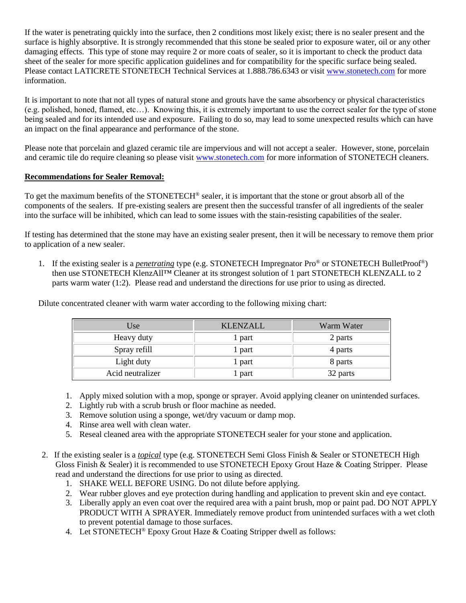If the water is penetrating quickly into the surface, then 2 conditions most likely exist; there is no sealer present and the surface is highly absorptive. It is strongly recommended that this stone be sealed prior to exposure water, oil or any other damaging effects. This type of stone may require 2 or more coats of sealer, so it is important to check the product data sheet of the sealer for more specific application guidelines and for compatibility for the specific surface being sealed. Please contact LATICRETE STONETECH Technical Services at 1.888.786.6343 or visit [www.stonetech.com](http://www.stonetech.com/) for more information.

It is important to note that not all types of natural stone and grouts have the same absorbency or physical characteristics (e.g. polished, honed, flamed, etc…). Knowing this, it is extremely important to use the correct sealer for the type of stone being sealed and for its intended use and exposure. Failing to do so, may lead to some unexpected results which can have an impact on the final appearance and performance of the stone.

Please note that porcelain and glazed ceramic tile are impervious and will not accept a sealer. However, stone, porcelain and ceramic tile do require cleaning so please visit [www.stonetech.com](http://www.stonetech.com/) for more information of STONETECH cleaners.

#### **Recommendations for Sealer Removal:**

To get the maximum benefits of the STONETECH<sup>®</sup> sealer, it is important that the stone or grout absorb all of the components of the sealers. If pre-existing sealers are present then the successful transfer of all ingredients of the sealer into the surface will be inhibited, which can lead to some issues with the stain-resisting capabilities of the sealer.

If testing has determined that the stone may have an existing sealer present, then it will be necessary to remove them prior to application of a new sealer.

1. If the existing sealer is a *penetrating* type (e.g. STONETECH Impregnator Pro® or STONETECH BulletProof®) then use STONETECH KlenzAll™ Cleaner at its strongest solution of 1 part STONETECH KLENZALL to 2 parts warm water (1:2). Please read and understand the directions for use prior to using as directed.

| Use              | <b>KLENZALL</b> | Warm Water |
|------------------|-----------------|------------|
| Heavy duty       | 1 part          | 2 parts    |
| Spray refill     | 1 part          | 4 parts    |
| Light duty       | 1 part          | 8 parts    |
| Acid neutralizer | l part          | 32 parts   |

Dilute concentrated cleaner with warm water according to the following mixing chart:

- 1. Apply mixed solution with a mop, sponge or sprayer. Avoid applying cleaner on unintended surfaces.
- 2. Lightly rub with a scrub brush or floor machine as needed.
- 3. Remove solution using a sponge, wet/dry vacuum or damp mop.
- 4. Rinse area well with clean water.
- 5. Reseal cleaned area with the appropriate STONETECH sealer for your stone and application.
- 2. If the existing sealer is a *topical* type (e.g. STONETECH Semi Gloss Finish & Sealer or STONETECH High Gloss Finish & Sealer) it is recommended to use STONETECH Epoxy Grout Haze & Coating Stripper. Please read and understand the directions for use prior to using as directed.
	- 1. SHAKE WELL BEFORE USING. Do not dilute before applying.
	- 2. Wear rubber gloves and eye protection during handling and application to prevent skin and eye contact.
	- 3. Liberally apply an even coat over the required area with a paint brush, mop or paint pad. DO NOT APPLY PRODUCT WITH A SPRAYER. Immediately remove product from unintended surfaces with a wet cloth to prevent potential damage to those surfaces.
	- 4. Let STONETECH<sup>®</sup> Epoxy Grout Haze & Coating Stripper dwell as follows: